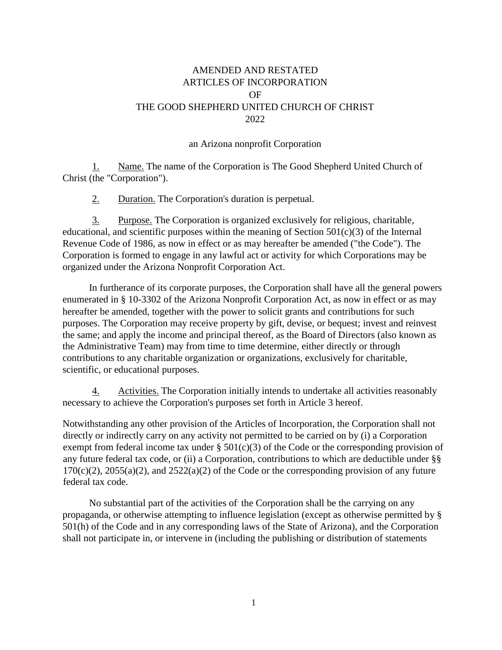## AMENDED AND RESTATED ARTICLES OF INCORPORATION OF THE GOOD SHEPHERD UNITED CHURCH OF CHRIST 2022

## an Arizona nonprofit Corporation

1. Name. The name of the Corporation is The Good Shepherd United Church of Christ (the "Corporation").

2. Duration. The Corporation's duration is perpetual.

3. Purpose. The Corporation is organized exclusively for religious, charitable, educational, and scientific purposes within the meaning of Section  $501(c)(3)$  of the Internal Revenue Code of 1986, as now in effect or as may hereafter be amended ("the Code"). The Corporation is formed to engage in any lawful act or activity for which Corporations may be organized under the Arizona Nonprofit Corporation Act.

In furtherance of its corporate purposes, the Corporation shall have all the general powers enumerated in § 10-3302 of the Arizona Nonprofit Corporation Act, as now in effect or as may hereafter be amended, together with the power to solicit grants and contributions for such purposes. The Corporation may receive property by gift, devise, or bequest; invest and reinvest the same; and apply the income and principal thereof, as the Board of Directors (also known as the Administrative Team) may from time to time determine, either directly or through contributions to any charitable organization or organizations, exclusively for charitable, scientific, or educational purposes.

4. Activities. The Corporation initially intends to undertake all activities reasonably necessary to achieve the Corporation's purposes set forth in Article 3 hereof.

Notwithstanding any other provision of the Articles of Incorporation, the Corporation shall not directly or indirectly carry on any activity not permitted to be carried on by (i) a Corporation exempt from federal income tax under  $\S 501(c)(3)$  of the Code or the corresponding provision of any future federal tax code, or (ii) a Corporation, contributions to which are deductible under §§  $170(c)(2)$ ,  $2055(a)(2)$ , and  $2522(a)(2)$  of the Code or the corresponding provision of any future federal tax code.

No substantial part of the activities of the Corporation shall be the carrying on any propaganda, or otherwise attempting to influence legislation (except as otherwise permitted by § 501(h) of the Code and in any corresponding laws of the State of Arizona), and the Corporation shall not participate in, or intervene in (including the publishing or distribution of statements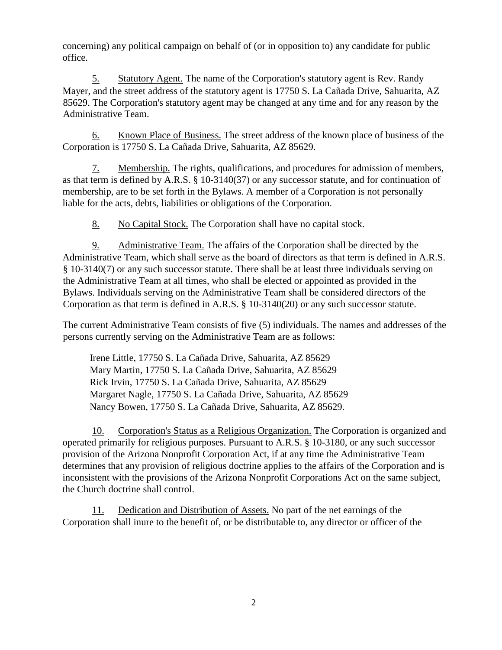concerning) any political campaign on behalf of (or in opposition to) any candidate for public office.

5. Statutory Agent. The name of the Corporation's statutory agent is Rev. Randy Mayer, and the street address of the statutory agent is 17750 S. La Cañada Drive, Sahuarita, AZ 85629. The Corporation's statutory agent may be changed at any time and for any reason by the Administrative Team.

6. Known Place of Business. The street address of the known place of business of the Corporation is 17750 S. La Cañada Drive, Sahuarita, AZ 85629.

7. Membership. The rights, qualifications, and procedures for admission of members, as that term is defined by A.R.S. § 10-3140(37) or any successor statute, and for continuation of membership, are to be set forth in the Bylaws. A member of a Corporation is not personally liable for the acts, debts, liabilities or obligations of the Corporation.

8. No Capital Stock. The Corporation shall have no capital stock.

9. Administrative Team. The affairs of the Corporation shall be directed by the Administrative Team, which shall serve as the board of directors as that term is defined in A.R.S. § 10-3140(7) or any such successor statute. There shall be at least three individuals serving on the Administrative Team at all times, who shall be elected or appointed as provided in the Bylaws. Individuals serving on the Administrative Team shall be considered directors of the Corporation as that term is defined in A.R.S. § 10-3140(20) or any such successor statute.

The current Administrative Team consists of five (5) individuals. The names and addresses of the persons currently serving on the Administrative Team are as follows:

Irene Little, 17750 S. La Cañada Drive, Sahuarita, AZ 85629 Mary Martin, 17750 S. La Cañada Drive, Sahuarita, AZ 85629 Rick Irvin, 17750 S. La Cañada Drive, Sahuarita, AZ 85629 Margaret Nagle, 17750 S. La Cañada Drive, Sahuarita, AZ 85629 Nancy Bowen, 17750 S. La Cañada Drive, Sahuarita, AZ 85629.

10. Corporation's Status as a Religious Organization. The Corporation is organized and operated primarily for religious purposes. Pursuant to A.R.S. § 10-3180, or any such successor provision of the Arizona Nonprofit Corporation Act, if at any time the Administrative Team determines that any provision of religious doctrine applies to the affairs of the Corporation and is inconsistent with the provisions of the Arizona Nonprofit Corporations Act on the same subject, the Church doctrine shall control.

11. Dedication and Distribution of Assets. No part of the net earnings of the Corporation shall inure to the benefit of, or be distributable to, any director or officer of the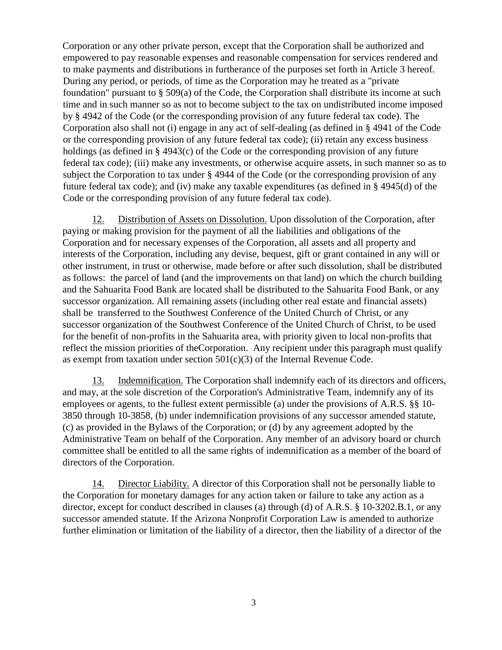Corporation or any other private person, except that the Corporation shall be authorized and empowered to pay reasonable expenses and reasonable compensation for services rendered and to make payments and distributions in furtherance of the purposes set forth in Article 3 hereof. During any period, or periods, of time as the Corporation may he treated as a "private foundation" pursuant to  $\S$  509(a) of the Code, the Corporation shall distribute its income at such time and in such manner so as not to become subject to the tax on undistributed income imposed by § 4942 of the Code (or the corresponding provision of any future federal tax code). The Corporation also shall not (i) engage in any act of self-dealing (as defined in § 4941 of the Code or the corresponding provision of any future federal tax code); (ii) retain any excess business holdings (as defined in § 4943(c) of the Code or the corresponding provision of any future federal tax code); (iii) make any investments, or otherwise acquire assets, in such manner so as to subject the Corporation to tax under § 4944 of the Code (or the corresponding provision of any future federal tax code); and (iv) make any taxable expenditures (as defined in § 4945(d) of the Code or the corresponding provision of any future federal tax code).

12. Distribution of Assets on Dissolution. Upon dissolution of the Corporation, after paying or making provision for the payment of all the liabilities and obligations of the Corporation and for necessary expenses of the Corporation, all assets and all property and interests of the Corporation, including any devise, bequest, gift or grant contained in any will or other instrument, in trust or otherwise, made before or after such dissolution, shall be distributed as follows: the parcel of land (and the improvements on that land) on which the church building and the Sahuarita Food Bank are located shall be distributed to the Sahuarita Food Bank, or any successor organization. All remaining assets (including other real estate and financial assets) shall be transferred to the Southwest Conference of the United Church of Christ, or any successor organization of the Southwest Conference of the United Church of Christ, to be used for the benefit of non-profits in the Sahuarita area, with priority given to local non-profits that reflect the mission priorities of theCorporation. Any recipient under this paragraph must qualify as exempt from taxation under section  $501(c)(3)$  of the Internal Revenue Code.

13. Indemnification. The Corporation shall indemnify each of its directors and officers, and may, at the sole discretion of the Corporation's Administrative Team, indemnify any of its employees or agents, to the fullest extent permissible (a) under the provisions of A.R.S. §§ 10- 3850 through 10-3858, (b) under indemnification provisions of any successor amended statute, (c) as provided in the Bylaws of the Corporation; or (d) by any agreement adopted by the Administrative Team on behalf of the Corporation. Any member of an advisory board or church committee shall be entitled to all the same rights of indemnification as a member of the board of directors of the Corporation.

14. Director Liability. A director of this Corporation shall not be personally liable to the Corporation for monetary damages for any action taken or failure to take any action as a director, except for conduct described in clauses (a) through (d) of A.R.S. § 10-3202.B.1, or any successor amended statute. If the Arizona Nonprofit Corporation Law is amended to authorize further elimination or limitation of the liability of a director, then the liability of a director of the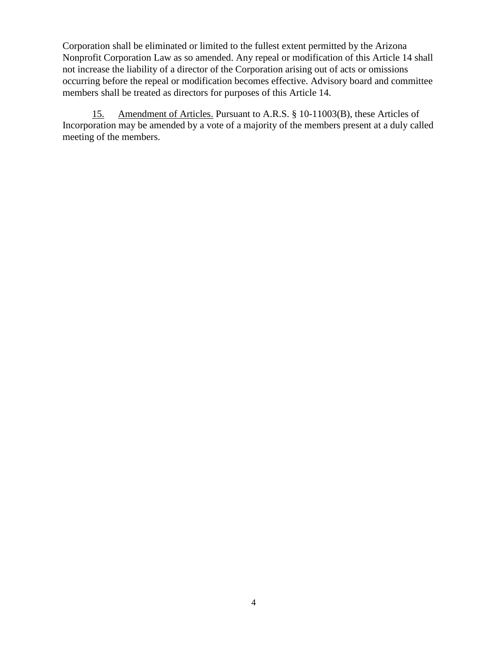Corporation shall be eliminated or limited to the fullest extent permitted by the Arizona Nonprofit Corporation Law as so amended. Any repeal or modification of this Article 14 shall not increase the liability of a director of the Corporation arising out of acts or omissions occurring before the repeal or modification becomes effective. Advisory board and committee members shall be treated as directors for purposes of this Article 14.

15. Amendment of Articles. Pursuant to A.R.S. § 10-11003(B), these Articles of Incorporation may be amended by a vote of a majority of the members present at a duly called meeting of the members.